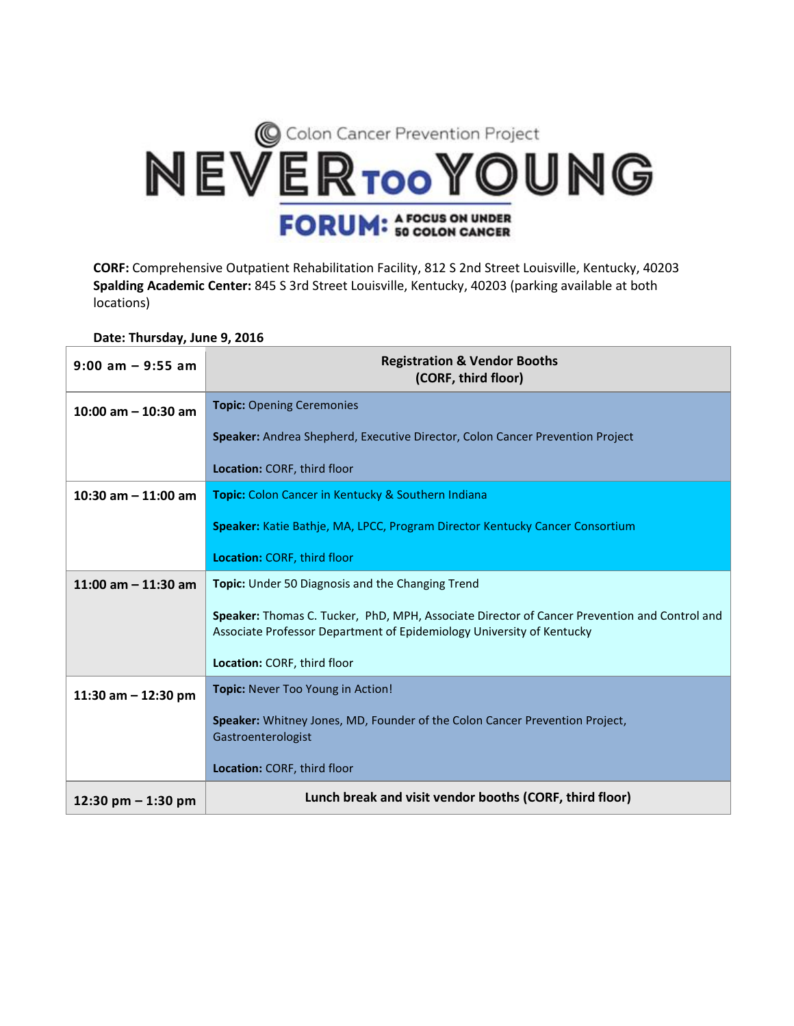

**CORF:** Comprehensive Outpatient Rehabilitation Facility, 812 S 2nd Street Louisville, Kentucky, 40203 **Spalding Academic Center:** 845 S 3rd Street Louisville, Kentucky, 40203 (parking available at both locations)

**Date: Thursday, June 9, 2016**

| $9:00$ am $-9:55$ am    | <b>Registration &amp; Vendor Booths</b><br>(CORF, third floor)                                                                                                        |
|-------------------------|-----------------------------------------------------------------------------------------------------------------------------------------------------------------------|
| $10:00$ am $- 10:30$ am | <b>Topic: Opening Ceremonies</b>                                                                                                                                      |
|                         | Speaker: Andrea Shepherd, Executive Director, Colon Cancer Prevention Project                                                                                         |
|                         | Location: CORF, third floor                                                                                                                                           |
| 10:30 am $-$ 11:00 am   | <b>Topic:</b> Colon Cancer in Kentucky & Southern Indiana                                                                                                             |
|                         | Speaker: Katie Bathje, MA, LPCC, Program Director Kentucky Cancer Consortium                                                                                          |
|                         | <b>Location: CORF, third floor</b>                                                                                                                                    |
| 11:00 am $-$ 11:30 am   | <b>Topic:</b> Under 50 Diagnosis and the Changing Trend                                                                                                               |
|                         | Speaker: Thomas C. Tucker, PhD, MPH, Associate Director of Cancer Prevention and Control and<br>Associate Professor Department of Epidemiology University of Kentucky |
|                         | Location: CORF, third floor                                                                                                                                           |
| 11:30 am $-$ 12:30 pm   | Topic: Never Too Young in Action!                                                                                                                                     |
|                         | Speaker: Whitney Jones, MD, Founder of the Colon Cancer Prevention Project,<br>Gastroenterologist                                                                     |
|                         | Location: CORF, third floor                                                                                                                                           |
| 12:30 pm $-$ 1:30 pm    | Lunch break and visit vendor booths (CORF, third floor)                                                                                                               |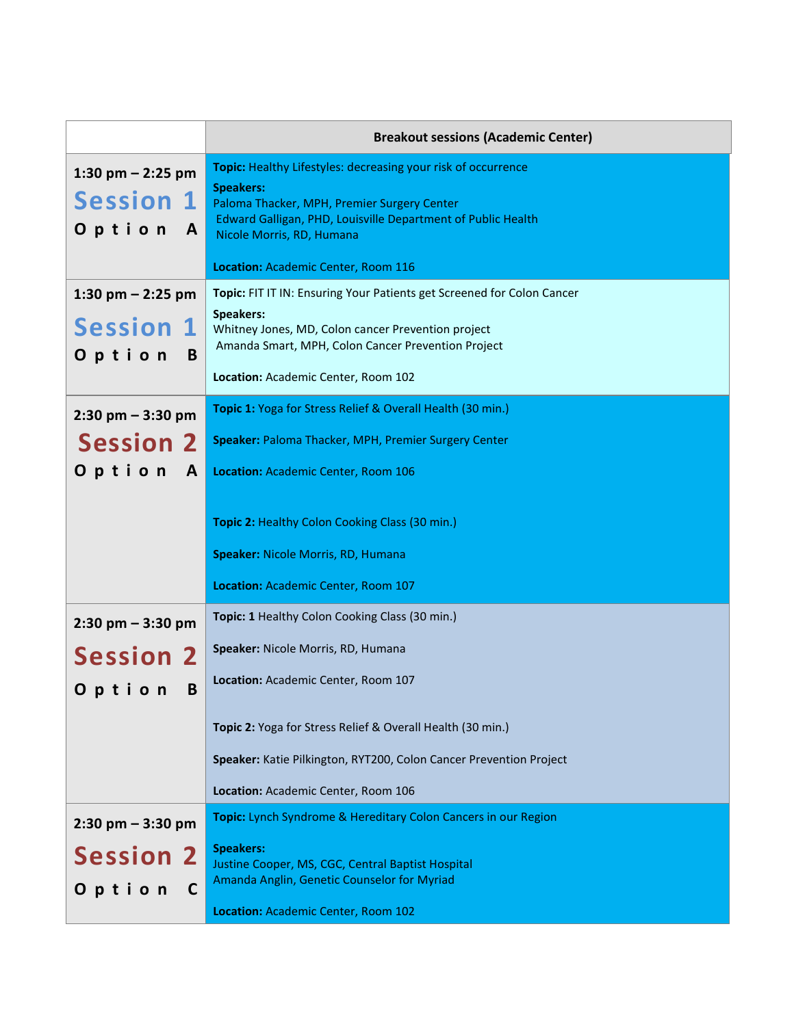|                                                                   | <b>Breakout sessions (Academic Center)</b>                                                                                                                                                                                                    |
|-------------------------------------------------------------------|-----------------------------------------------------------------------------------------------------------------------------------------------------------------------------------------------------------------------------------------------|
| 1:30 pm $-$ 2:25 pm<br><b>Session 1</b><br>Option<br>$\mathbf{A}$ | <b>Topic:</b> Healthy Lifestyles: decreasing your risk of occurrence<br><b>Speakers:</b><br>Paloma Thacker, MPH, Premier Surgery Center<br>Edward Galligan, PHD, Louisville Department of Public Health<br>Nicole Morris, RD, Humana          |
|                                                                   | Location: Academic Center, Room 116                                                                                                                                                                                                           |
| 1:30 pm $-$ 2:25 pm<br><b>Session 1</b><br>Option<br>B            | Topic: FIT IT IN: Ensuring Your Patients get Screened for Colon Cancer<br><b>Speakers:</b><br>Whitney Jones, MD, Colon cancer Prevention project<br>Amanda Smart, MPH, Colon Cancer Prevention Project<br>Location: Academic Center, Room 102 |
| $2:30$ pm $-3:30$ pm                                              | Topic 1: Yoga for Stress Relief & Overall Health (30 min.)                                                                                                                                                                                    |
| <b>Session 2</b><br>Option A                                      | Speaker: Paloma Thacker, MPH, Premier Surgery Center<br>Location: Academic Center, Room 106                                                                                                                                                   |
|                                                                   | Topic 2: Healthy Colon Cooking Class (30 min.)                                                                                                                                                                                                |
|                                                                   | Speaker: Nicole Morris, RD, Humana                                                                                                                                                                                                            |
|                                                                   | Location: Academic Center, Room 107                                                                                                                                                                                                           |
| $2:30$ pm $-3:30$ pm                                              | Topic: 1 Healthy Colon Cooking Class (30 min.)                                                                                                                                                                                                |
| <b>Session 2</b>                                                  | Speaker: Nicole Morris, RD, Humana                                                                                                                                                                                                            |
| B<br>Option                                                       | Location: Academic Center, Room 107                                                                                                                                                                                                           |
|                                                                   | Topic 2: Yoga for Stress Relief & Overall Health (30 min.)                                                                                                                                                                                    |
|                                                                   | Speaker: Katie Pilkington, RYT200, Colon Cancer Prevention Project                                                                                                                                                                            |
|                                                                   | Location: Academic Center, Room 106                                                                                                                                                                                                           |
| $2:30$ pm $-3:30$ pm                                              | Topic: Lynch Syndrome & Hereditary Colon Cancers in our Region                                                                                                                                                                                |
| <b>Session 2</b><br>Option<br>C                                   | <b>Speakers:</b><br>Justine Cooper, MS, CGC, Central Baptist Hospital<br>Amanda Anglin, Genetic Counselor for Myriad                                                                                                                          |
|                                                                   | Location: Academic Center, Room 102                                                                                                                                                                                                           |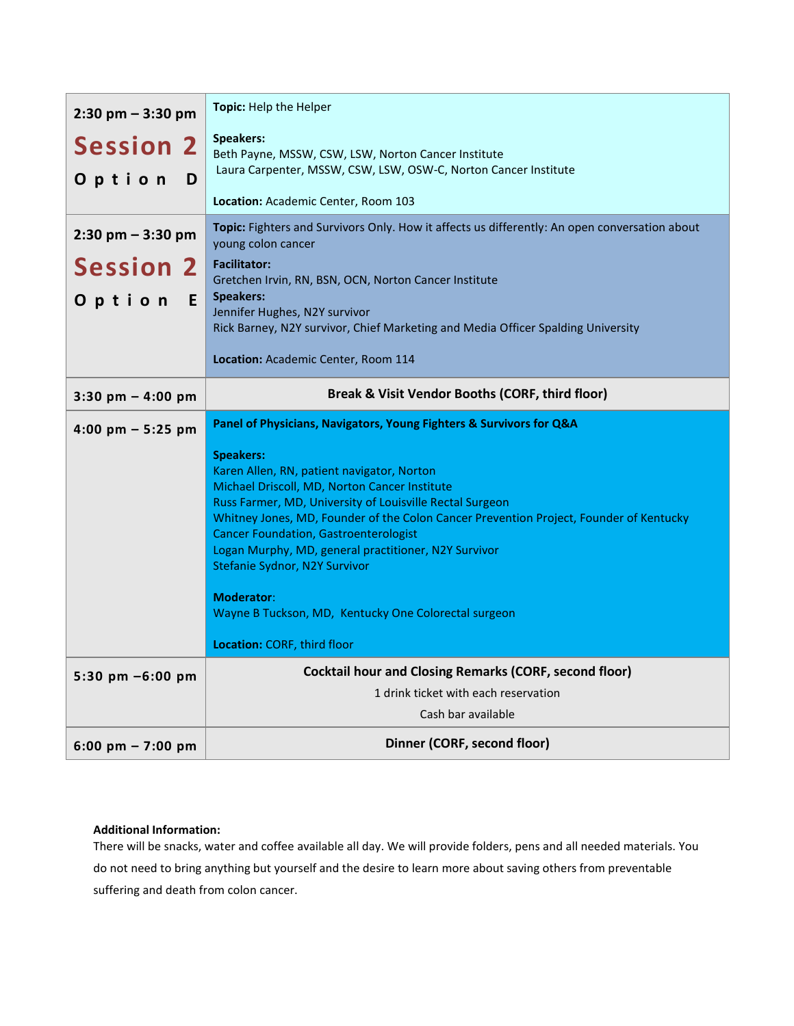| $2:30$ pm $-3:30$ pm<br><b>Session 2</b><br>Option<br>D | Topic: Help the Helper<br><b>Speakers:</b><br>Beth Payne, MSSW, CSW, LSW, Norton Cancer Institute<br>Laura Carpenter, MSSW, CSW, LSW, OSW-C, Norton Cancer Institute                                                                                                                                                                                                                                                                                     |
|---------------------------------------------------------|----------------------------------------------------------------------------------------------------------------------------------------------------------------------------------------------------------------------------------------------------------------------------------------------------------------------------------------------------------------------------------------------------------------------------------------------------------|
|                                                         | Location: Academic Center, Room 103                                                                                                                                                                                                                                                                                                                                                                                                                      |
| $2:30$ pm $-3:30$ pm                                    | Topic: Fighters and Survivors Only. How it affects us differently: An open conversation about<br>young colon cancer                                                                                                                                                                                                                                                                                                                                      |
| <b>Session 2</b>                                        | <b>Facilitator:</b><br>Gretchen Irvin, RN, BSN, OCN, Norton Cancer Institute                                                                                                                                                                                                                                                                                                                                                                             |
| Option<br>E.                                            | <b>Speakers:</b><br>Jennifer Hughes, N2Y survivor                                                                                                                                                                                                                                                                                                                                                                                                        |
|                                                         | Rick Barney, N2Y survivor, Chief Marketing and Media Officer Spalding University                                                                                                                                                                                                                                                                                                                                                                         |
|                                                         | Location: Academic Center, Room 114                                                                                                                                                                                                                                                                                                                                                                                                                      |
| 3:30 pm $-$ 4:00 pm                                     | Break & Visit Vendor Booths (CORF, third floor)                                                                                                                                                                                                                                                                                                                                                                                                          |
| 4:00 pm $-$ 5:25 pm                                     | Panel of Physicians, Navigators, Young Fighters & Survivors for Q&A                                                                                                                                                                                                                                                                                                                                                                                      |
|                                                         | <b>Speakers:</b><br>Karen Allen, RN, patient navigator, Norton                                                                                                                                                                                                                                                                                                                                                                                           |
|                                                         | Michael Driscoll, MD, Norton Cancer Institute<br>Russ Farmer, MD, University of Louisville Rectal Surgeon<br>Whitney Jones, MD, Founder of the Colon Cancer Prevention Project, Founder of Kentucky<br><b>Cancer Foundation, Gastroenterologist</b><br>Logan Murphy, MD, general practitioner, N2Y Survivor<br>Stefanie Sydnor, N2Y Survivor<br><b>Moderator:</b><br>Wayne B Tuckson, MD, Kentucky One Colorectal surgeon<br>Location: CORF, third floor |
| 5:30 pm $-6:00$ pm                                      | <b>Cocktail hour and Closing Remarks (CORF, second floor)</b>                                                                                                                                                                                                                                                                                                                                                                                            |
|                                                         | 1 drink ticket with each reservation<br>Cash bar available                                                                                                                                                                                                                                                                                                                                                                                               |

## **Additional Information:**

There will be snacks, water and coffee available all day. We will provide folders, pens and all needed materials. You do not need to bring anything but yourself and the desire to learn more about saving others from preventable suffering and death from colon cancer.